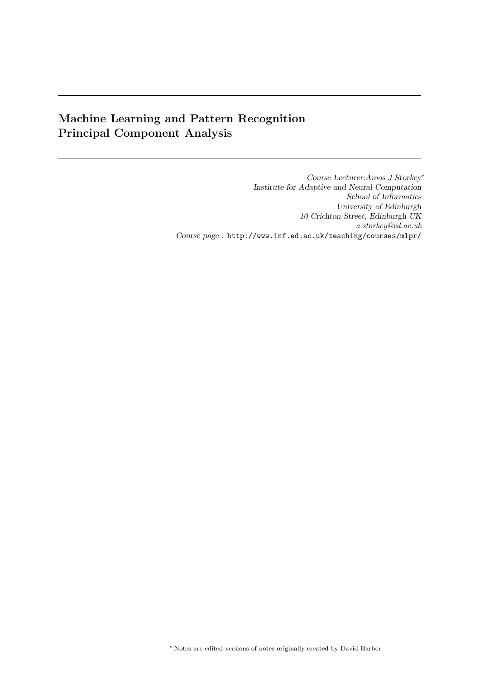# Machine Learning and Pattern Recognition Principal Component Analysis

Course Lecturer:Amos J Storkey<sup>∗</sup> Institute for Adaptive and Neural Computation School of Informatics University of Edinburgh 10 Crichton Street, Edinburgh UK a.storkey@ed.ac.uk Course page : http://www.inf.ed.ac.uk/teaching/courses/mlpr/

<sup>∗</sup> Notes are edited versions of notes originally created by David Barber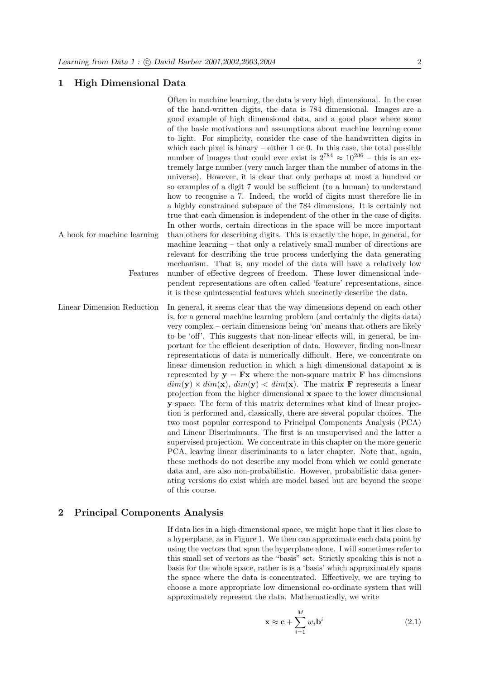# 1 High Dimensional Data

Often in machine learning, the data is very high dimensional. In the case of the hand-written digits, the data is 784 dimensional. Images are a good example of high dimensional data, and a good place where some of the basic motivations and assumptions about machine learning come to light. For simplicity, consider the case of the handwritten digits in which each pixel is binary – either  $1$  or  $0$ . In this case, the total possible number of images that could ever exist is  $2^{784} \approx 10^{236}$  – this is an extremely large number (very much larger than the number of atoms in the universe). However, it is clear that only perhaps at most a hundred or so examples of a digit 7 would be sufficient (to a human) to understand how to recognise a 7. Indeed, the world of digits must therefore lie in a highly constrained subspace of the 784 dimensions. It is certainly not true that each dimension is independent of the other in the case of digits. In other words, certain directions in the space will be more important A hook for machine learning than others for describing digits. This is exactly the hope, in general, for machine learning – that only a relatively small number of directions are relevant for describing the true process underlying the data generating mechanism. That is, any model of the data will have a relatively low Features number of effective degrees of freedom. These lower dimensional independent representations are often called 'feature' representations, since it is these quintessential features which succinctly describe the data. Linear Dimension Reduction In general, it seems clear that the way dimensions depend on each other is, for a general machine learning problem (and certainly the digits data) very complex – certain dimensions being 'on' means that others are likely to be 'off'. This suggests that non-linear effects will, in general, be important for the efficient description of data. However, finding non-linear representations of data is numerically difficult. Here, we concentrate on linear dimension reduction in which a high dimensional datapoint  ${\bf x}$  is represented by  $y = Fx$  where the non-square matrix F has dimensions  $dim(\mathbf{v}) \times dim(\mathbf{x})$ ,  $dim(\mathbf{v}) < dim(\mathbf{x})$ . The matrix **F** represents a linear projection from the higher dimensional  $x$  space to the lower dimensional y space. The form of this matrix determines what kind of linear projection is performed and, classically, there are several popular choices. The two most popular correspond to Principal Components Analysis (PCA) and Linear Discriminants. The first is an unsupervised and the latter a supervised projection. We concentrate in this chapter on the more generic PCA, leaving linear discriminants to a later chapter. Note that, again, these methods do not describe any model from which we could generate data and, are also non-probabilistic. However, probabilistic data generating versions do exist which are model based but are beyond the scope of this course.

# 2 Principal Components Analysis

If data lies in a high dimensional space, we might hope that it lies close to a hyperplane, as in Figure 1. We then can approximate each data point by using the vectors that span the hyperplane alone. I will sometimes refer to this small set of vectors as the "basis" set. Strictly speaking this is not a basis for the whole space, rather is is a 'basis' which approximately spans the space where the data is concentrated. Effectively, we are trying to choose a more appropriate low dimensional co-ordinate system that will approximately represent the data. Mathematically, we write

$$
\mathbf{x} \approx \mathbf{c} + \sum_{i=1}^{M} w_i \mathbf{b}^i
$$
 (2.1)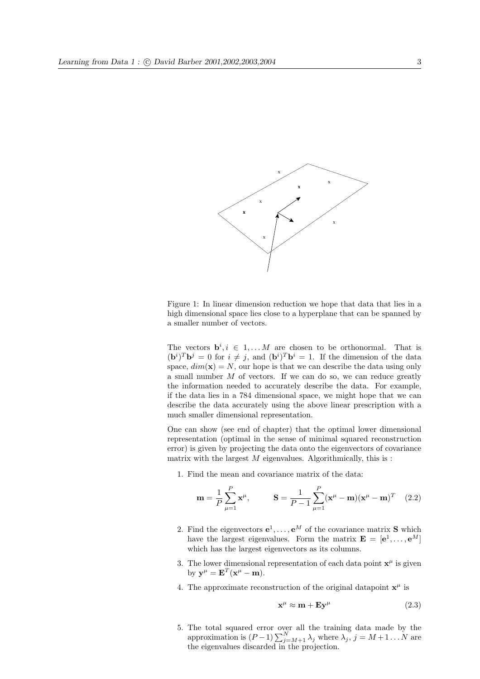

Figure 1: In linear dimension reduction we hope that data that lies in a high dimensional space lies close to a hyperplane that can be spanned by a smaller number of vectors.

The vectors  $\mathbf{b}^i, i \in 1, \ldots M$  are chosen to be orthonormal. That is  $({\bf b}^i)^T {\bf b}^j = 0$  for  $i \neq j$ , and  $({\bf b}^i)^T {\bf b}^i = 1$ . If the dimension of the data space,  $dim(\mathbf{x}) = N$ , our hope is that we can describe the data using only a small number  $M$  of vectors. If we can do so, we can reduce greatly the information needed to accurately describe the data. For example, if the data lies in a 784 dimensional space, we might hope that we can describe the data accurately using the above linear prescription with a much smaller dimensional representation.

One can show (see end of chapter) that the optimal lower dimensional representation (optimal in the sense of minimal squared reconstruction error) is given by projecting the data onto the eigenvectors of covariance matrix with the largest  $M$  eigenvalues. Algorithmically, this is :

1. Find the mean and covariance matrix of the data:

$$
\mathbf{m} = \frac{1}{P} \sum_{\mu=1}^{P} \mathbf{x}^{\mu}, \qquad \mathbf{S} = \frac{1}{P-1} \sum_{\mu=1}^{P} (\mathbf{x}^{\mu} - \mathbf{m})(\mathbf{x}^{\mu} - \mathbf{m})^{T} \quad (2.2)
$$

- 2. Find the eigenvectors  $e^1, \ldots, e^M$  of the covariance matrix **S** which have the largest eigenvalues. Form the matrix  $\mathbf{E} = [\mathbf{e}^1, \dots, \mathbf{e}^M]$ which has the largest eigenvectors as its columns.
- 3. The lower dimensional representation of each data point  $x^{\mu}$  is given by  $\mathbf{y}^{\mu} = \mathbf{E}^{T}(\mathbf{x}^{\mu} - \mathbf{m}).$
- 4. The approximate reconstruction of the original datapoint  $\mathbf{x}^{\mu}$  is

$$
\mathbf{x}^{\mu} \approx \mathbf{m} + \mathbf{E} \mathbf{y}^{\mu} \tag{2.3}
$$

5. The total squared error over all the training data made by the approximation is  $(P-1)\sum_{j=M+1}^{N} \lambda_j$  where  $\lambda_j$ ,  $j = M+1 \dots N$  are the eigenvalues discarded in the projection.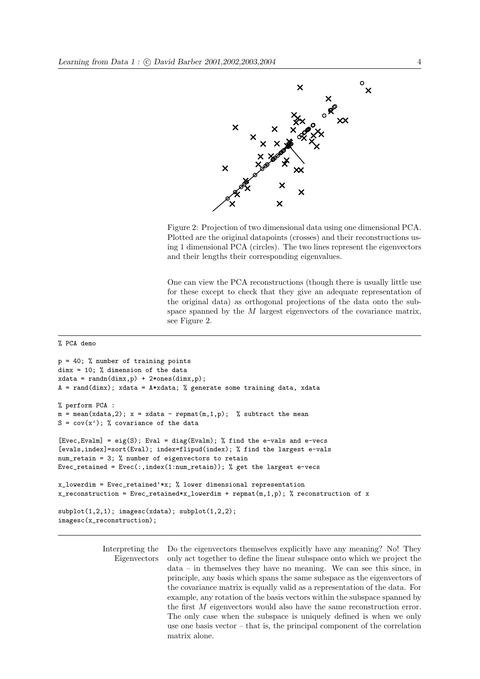

Figure 2: Projection of two dimensional data using one dimensional PCA. Plotted are the original datapoints (crosses) and their reconstructions using 1 dimensional PCA (circles). The two lines represent the eigenvectors and their lengths their corresponding eigenvalues.

One can view the PCA reconstructions (though there is usually little use for these except to check that they give an adequate representation of the original data) as orthogonal projections of the data onto the subspace spanned by the M largest eigenvectors of the covariance matrix, see Figure 2.

#### % PCA demo

```
p = 40; % number of training points
dimx = 10; % dimension of the data
xdata = randn(dimx,p) + 2*ones(dimx,p);A = rand(dimx); xdata = A*xdata; % generate some training data, xdata
% perform PCA :
m = mean(xdata, 2); x = xdata - remnat(m, 1, p); % subtract the meanS = cov(x'); % covariance of the data
[Evec,Evalm] = eig(S); Eval = diag(Evalm); % find the e-vals and e-vecs
[evals,index]=sort(Eval); index=flipud(index); % find the largest e-vals
num_retain = 3; % number of eigenvectors to retain
Evec_retained = Evec(:,index(1:num_retain)); % get the largest e-vecs
x_lowerdim = Evec_retained'*x; % lower dimensional representation
x_reconstruction = Evec_retained*x_lowerdim + repmat(m,1,p); % reconstruction of x
subplot(1,2,1); imagesc(xdata); subplot(1,2,2);imagesc(x_reconstruction);
```
Interpreting the Do the eigenvectors themselves explicitly have any meaning? No! They Eigenvectors only act together to define the linear subspace onto which we project the data – in themselves they have no meaning. We can see this since, in principle, any basis which spans the same subspace as the eigenvectors of the covariance matrix is equally valid as a representation of the data. For example, any rotation of the basis vectors within the subspace spanned by the first M eigenvectors would also have the same reconstruction error. The only case when the subspace is uniquely defined is when we only use one basis vector – that is, the principal component of the correlation matrix alone.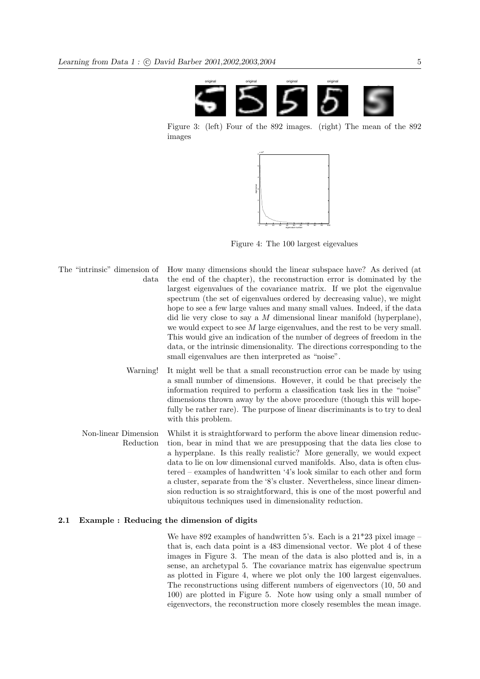

Figure 3: (left) Four of the 892 images. (right) The mean of the 892 images



Figure 4: The 100 largest eigevalues

- The "intrinsic" dimension of How many dimensions should the linear subspace have? As derived (at data the end of the chapter), the reconstruction error is dominated by the largest eigenvalues of the covariance matrix. If we plot the eigenvalue spectrum (the set of eigenvalues ordered by decreasing value), we might hope to see a few large values and many small values. Indeed, if the data did lie very close to say a M dimensional linear manifold (hyperplane), we would expect to see M large eigenvalues, and the rest to be very small. This would give an indication of the number of degrees of freedom in the data, or the intrinsic dimensionality. The directions corresponding to the small eigenvalues are then interpreted as "noise".
	- Warning! It might well be that a small reconstruction error can be made by using a small number of dimensions. However, it could be that precisely the information required to perform a classification task lies in the "noise" dimensions thrown away by the above procedure (though this will hopefully be rather rare). The purpose of linear discriminants is to try to deal with this problem.
	- Non-linear Dimension Whilst it is straightforward to perform the above linear dimension reduc-Reduction tion, bear in mind that we are presupposing that the data lies close to a hyperplane. Is this really realistic? More generally, we would expect data to lie on low dimensional curved manifolds. Also, data is often clustered – examples of handwritten '4's look similar to each other and form a cluster, separate from the '8's cluster. Nevertheless, since linear dimension reduction is so straightforward, this is one of the most powerful and ubiquitous techniques used in dimensionality reduction.

## 2.1 Example : Reducing the dimension of digits

We have 892 examples of handwritten 5's. Each is a  $21*23$  pixel image – that is, each data point is a 483 dimensional vector. We plot 4 of these images in Figure 3. The mean of the data is also plotted and is, in a sense, an archetypal 5. The covariance matrix has eigenvalue spectrum as plotted in Figure 4, where we plot only the 100 largest eigenvalues. The reconstructions using different numbers of eigenvectors (10, 50 and 100) are plotted in Figure 5. Note how using only a small number of eigenvectors, the reconstruction more closely resembles the mean image.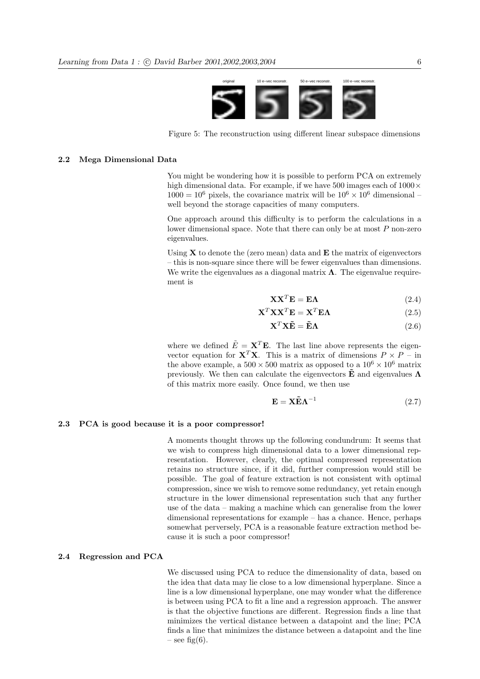

Figure 5: The reconstruction using different linear subspace dimensions

### 2.2 Mega Dimensional Data

You might be wondering how it is possible to perform PCA on extremely high dimensional data. For example, if we have 500 images each of  $1000 \times$  $1000 = 10^6$  pixels, the covariance matrix will be  $10^6 \times 10^6$  dimensional – well beyond the storage capacities of many computers.

One approach around this difficulty is to perform the calculations in a lower dimensional space. Note that there can only be at most  $P$  non-zero eigenvalues.

Using  $X$  to denote the (zero mean) data and  $E$  the matrix of eigenvectors – this is non-square since there will be fewer eigenvalues than dimensions. We write the eigenvalues as a diagonal matrix  $\Lambda$ . The eigenvalue requirement is

$$
\mathbf{X}\mathbf{X}^T\mathbf{E} = \mathbf{E}\mathbf{\Lambda} \tag{2.4}
$$

$$
\mathbf{X}^T \mathbf{X} \mathbf{X}^T \mathbf{E} = \mathbf{X}^T \mathbf{E} \mathbf{\Lambda}
$$
 (2.5)

$$
\mathbf{X}^T \mathbf{X} \tilde{\mathbf{E}} = \tilde{\mathbf{E}} \mathbf{\Lambda}
$$
 (2.6)

where we defined  $\tilde{E} = \mathbf{X}^T \mathbf{E}$ . The last line above represents the eigenvector equation for **X<sup>T</sup>X**. This is a matrix of dimensions  $P \times P -$  in the above example, a  $500 \times 500$  matrix as opposed to a  $10^6 \times 10^6$  matrix previously. We then can calculate the eigenvectors  $\tilde{E}$  and eigenvalues  $\Lambda$ of this matrix more easily. Once found, we then use

$$
\mathbf{E} = \mathbf{X}\tilde{\mathbf{E}}\mathbf{\Lambda}^{-1} \tag{2.7}
$$

#### 2.3 PCA is good because it is a poor compressor!

A moments thought throws up the following condundrum: It seems that we wish to compress high dimensional data to a lower dimensional representation. However, clearly, the optimal compressed representation retains no structure since, if it did, further compression would still be possible. The goal of feature extraction is not consistent with optimal compression, since we wish to remove some redundancy, yet retain enough structure in the lower dimensional representation such that any further use of the data – making a machine which can generalise from the lower dimensional representations for example  $-$  has a chance. Hence, perhaps somewhat perversely, PCA is a reasonable feature extraction method because it is such a poor compressor!

## 2.4 Regression and PCA

We discussed using PCA to reduce the dimensionality of data, based on the idea that data may lie close to a low dimensional hyperplane. Since a line is a low dimensional hyperplane, one may wonder what the difference is between using PCA to fit a line and a regression approach. The answer is that the objective functions are different. Regression finds a line that minimizes the vertical distance between a datapoint and the line; PCA finds a line that minimizes the distance between a datapoint and the line – see fig(6).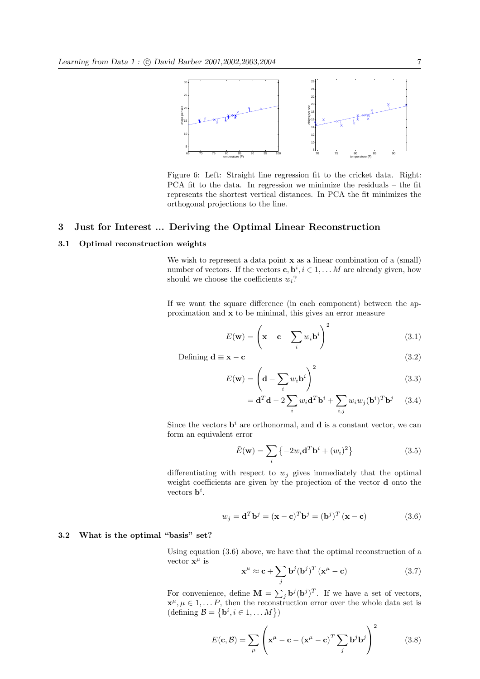

Figure 6: Left: Straight line regression fit to the cricket data. Right: PCA fit to the data. In regression we minimize the residuals – the fit represents the shortest vertical distances. In PCA the fit minimizes the orthogonal projections to the line.

# 3 Just for Interest ... Deriving the Optimal Linear Reconstruction

## 3.1 Optimal reconstruction weights

We wish to represent a data point **x** as a linear combination of a (small) number of vectors. If the vectors  $\mathbf{c}, \mathbf{b}^i, i \in 1, \ldots M$  are already given, how should we choose the coefficients  $w_i$ ?

If we want the square difference (in each component) between the approximation and x to be minimal, this gives an error measure

$$
E(\mathbf{w}) = \left(\mathbf{x} - \mathbf{c} - \sum_{i} w_i \mathbf{b}^i\right)^2 \tag{3.1}
$$

Defining  $\mathbf{d} \equiv \mathbf{x} - \mathbf{c}$  (3.2)

$$
E(\mathbf{w}) = \left(\mathbf{d} - \sum_{i} w_i \mathbf{b}^i\right)^2
$$
(3.3)

$$
= \mathbf{d}^T \mathbf{d} - 2 \sum_i w_i \mathbf{d}^T \mathbf{b}^i + \sum_{i,j} w_i w_j (\mathbf{b}^i)^T \mathbf{b}^j \qquad (3.4)
$$

Since the vectors  $\mathbf{b}^i$  are orthonormal, and **d** is a constant vector, we can form an equivalent error

$$
\tilde{E}(\mathbf{w}) = \sum_{i} \left\{-2w_i \mathbf{d}^T \mathbf{b}^i + (w_i)^2\right\}
$$
\n(3.5)

differentiating with respect to  $w_j$  gives immediately that the optimal weight coefficients are given by the projection of the vector d onto the vectors  $\mathbf{b}^i$ .

$$
w_j = \mathbf{d}^T \mathbf{b}^j = (\mathbf{x} - \mathbf{c})^T \mathbf{b}^j = (\mathbf{b}^j)^T (\mathbf{x} - \mathbf{c})
$$
 (3.6)

# 3.2 What is the optimal "basis" set?

Using equation (3.6) above, we have that the optimal reconstruction of a vector  $\mathbf{x}^{\mu}$  is  $\overline{\phantom{a}}$ 

$$
\mathbf{x}^{\mu} \approx \mathbf{c} + \sum_{j} \mathbf{b}^{j} (\mathbf{b}^{j})^{T} (\mathbf{x}^{\mu} - \mathbf{c})
$$
 (3.7)

For convenience, define  $\mathbf{M} = \sum_j \mathbf{b}^j (\mathbf{b}^j)^T$ . If we have a set of vectors,  $\mathbf{x}^{\mu}, \mu \in 1, \ldots P$ , then the reconstruction error over the whole data set is  $\mathbf{x}^{\mu}, \mu \in 1, ..., P$ , then the reconser-<br>(defining  $\mathcal{B} = \{ \mathbf{b}^{i}, i \in 1, ..., M \}$ )

$$
E(\mathbf{c}, \mathcal{B}) = \sum_{\mu} \left( \mathbf{x}^{\mu} - \mathbf{c} - (\mathbf{x}^{\mu} - \mathbf{c})^T \sum_{j} \mathbf{b}^j \mathbf{b}^j \right)^2 \tag{3.8}
$$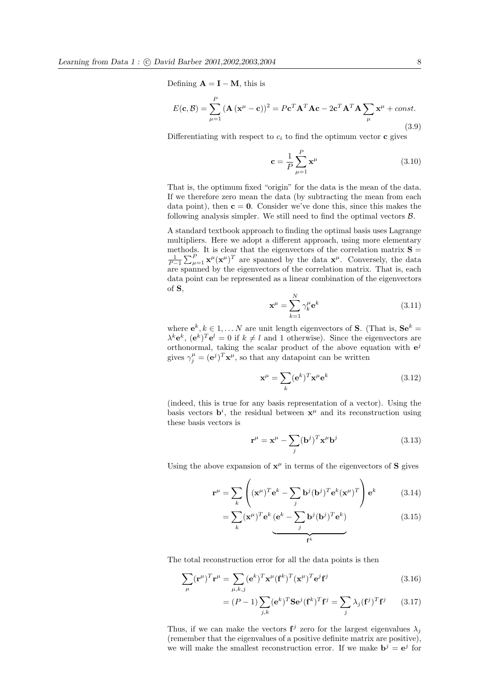Defining  $\mathbf{A} = \mathbf{I} - \mathbf{M}$ , this is

$$
E(\mathbf{c}, \mathcal{B}) = \sum_{\mu=1}^{P} (\mathbf{A} (\mathbf{x}^{\mu} - \mathbf{c}))^{2} = P \mathbf{c}^{T} \mathbf{A}^{T} \mathbf{A} \mathbf{c} - 2 \mathbf{c}^{T} \mathbf{A}^{T} \mathbf{A} \sum_{\mu} \mathbf{x}^{\mu} + const.
$$
\n(3.9)

Differentiating with respect to  $c_i$  to find the optimum vector **c** gives

$$
\mathbf{c} = \frac{1}{P} \sum_{\mu=1}^{P} \mathbf{x}^{\mu}
$$
 (3.10)

That is, the optimum fixed "origin" for the data is the mean of the data. If we therefore zero mean the data (by subtracting the mean from each data point), then  $c = 0$ . Consider we've done this, since this makes the following analysis simpler. We still need to find the optimal vectors  $\beta$ .

A standard textbook approach to finding the optimal basis uses Lagrange multipliers. Here we adopt a different approach, using more elementary methods. It is clear that the eigenvectors of the correlation matrix  $\mathbf{S} = \frac{1}{P-1} \sum_{\mu=1}^{P} \mathbf{x}^{\mu} (\mathbf{x}^{\mu})^T$  are spanned by the data  $\mathbf{x}^{\mu}$ . Conversely, the data bods. It is clear that the eigenvectors of the correlation matrix  $\mathbf{S} = \sum_{\mu=1}^{P} \mathbf{x}^{\mu} (\mathbf{x}^{\mu})^T$  are spanned by the data  $\mathbf{x}^{\mu}$ . Conversely, the data are spanned by the eigenvectors of the correlation matrix. That is, each data point can be represented as a linear combination of the eigenvectors of S,

$$
\mathbf{x}^{\mu} = \sum_{k=1}^{N} \gamma_k^{\mu} \mathbf{e}^k \tag{3.11}
$$

where  $e^k, k \in 1, \ldots N$  are unit length eigenvectors of **S**. (That is,  $\mathbf{Se}^k =$  $\lambda^k \mathbf{e}^k$ ,  $(\mathbf{e}^k)^T \mathbf{e}^l = 0$  if  $k \neq l$  and 1 otherwise). Since the eigenvectors are orthonormal, taking the scalar product of the above equation with  $e^{j}$ gives  $\gamma_j^{\mu} = (\mathbf{e}^j)^T \mathbf{x}^{\mu}$ , so that any datapoint can be written

$$
\mathbf{x}^{\mu} = \sum_{k} (\mathbf{e}^{k})^{T} \mathbf{x}^{\mu} \mathbf{e}^{k}
$$
 (3.12)

(indeed, this is true for any basis representation of a vector). Using the basis vectors  $\mathbf{b}^i$ , the residual between  $\mathbf{x}^{\mu}$  and its reconstruction using these basis vectors is

$$
\mathbf{r}^{\mu} = \mathbf{x}^{\mu} - \sum_{j} (\mathbf{b}^{j})^{T} \mathbf{x}^{\mu} \mathbf{b}^{j}
$$
 (3.13)

Using the above expansion of  $x^{\mu}$  in terms of the eigenvectors of S gives

$$
\mathbf{r}^{\mu} = \sum_{k} \left( (\mathbf{x}^{\mu})^{T} \mathbf{e}^{k} - \sum_{j} \mathbf{b}^{j} (\mathbf{b}^{j})^{T} \mathbf{e}^{k} (\mathbf{x}^{\mu})^{T} \right) \mathbf{e}^{k}
$$
(3.14)

$$
= \sum_{k} (\mathbf{x}^{\mu})^T \mathbf{e}^k \underbrace{(\mathbf{e}^k - \sum_{j} \mathbf{b}^j (\mathbf{b}^j)^T \mathbf{e}^k)}_{\mathbf{f}^k}
$$
(3.15)

The total reconstruction error for all the data points is then

$$
\sum_{\mu} (\mathbf{r}^{\mu})^T \mathbf{r}^{\mu} = \sum_{\mu, k, j} (\mathbf{e}^k)^T \mathbf{x}^{\mu} (\mathbf{f}^k)^T (\mathbf{x}^{\mu})^T \mathbf{e}^j \mathbf{f}^j
$$
(3.16)

$$
= (P-1)\sum_{j,k} (\mathbf{e}^k)^T \mathbf{S} \mathbf{e}^j (\mathbf{f}^k)^T \mathbf{f}^j = \sum_j \lambda_j (\mathbf{f}^j)^T \mathbf{f}^j \qquad (3.17)
$$

Thus, if we can make the vectors  $f^j$  zero for the largest eigenvalues  $\lambda_j$ (remember that the eigenvalues of a positive definite matrix are positive), we will make the smallest reconstruction error. If we make  $\mathbf{b}^j = \mathbf{e}^j$  for